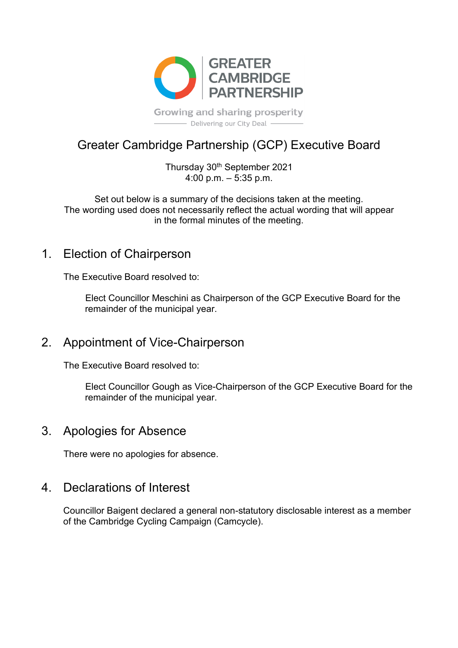

Delivering our City Deal -

# Greater Cambridge Partnership (GCP) Executive Board

Thursday 30<sup>th</sup> September 2021 4:00 p.m. – 5:35 p.m.

Set out below is a summary of the decisions taken at the meeting. The wording used does not necessarily reflect the actual wording that will appear in the formal minutes of the meeting.

# 1. Election of Chairperson

The Executive Board resolved to:

Elect Councillor Meschini as Chairperson of the GCP Executive Board for the remainder of the municipal year.

# 2. Appointment of Vice-Chairperson

The Executive Board resolved to:

Elect Councillor Gough as Vice-Chairperson of the GCP Executive Board for the remainder of the municipal year.

### 3. Apologies for Absence

There were no apologies for absence.

### 4. Declarations of Interest

Councillor Baigent declared a general non-statutory disclosable interest as a member of the Cambridge Cycling Campaign (Camcycle).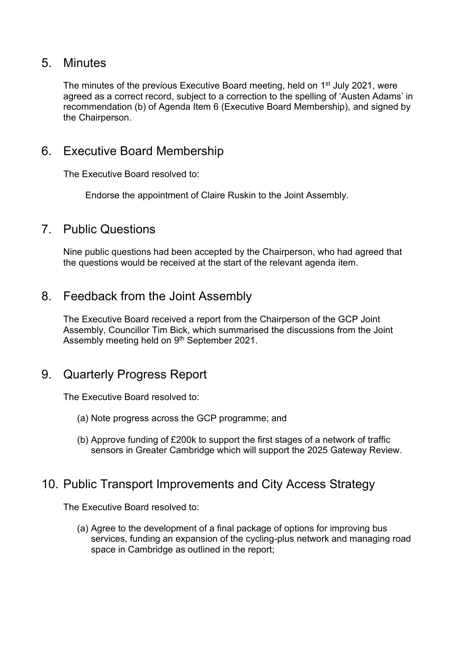### 5. Minutes

The minutes of the previous Executive Board meeting, held on 1<sup>st</sup> July 2021, were agreed as a correct record, subject to a correction to the spelling of 'Austen Adams' in recommendation (b) of Agenda Item 6 (Executive Board Membership), and signed by the Chairperson.

# 6. Executive Board Membership

The Executive Board resolved to:

Endorse the appointment of Claire Ruskin to the Joint Assembly.

# 7. Public Questions

Nine public questions had been accepted by the Chairperson, who had agreed that the questions would be received at the start of the relevant agenda item.

# 8. Feedback from the Joint Assembly

The Executive Board received a report from the Chairperson of the GCP Joint Assembly, Councillor Tim Bick, which summarised the discussions from the Joint Assembly meeting held on 9<sup>th</sup> September 2021.

# 9. Quarterly Progress Report

The Executive Board resolved to:

- (a) Note progress across the GCP programme; and
- (b) Approve funding of £200k to support the first stages of a network of traffic sensors in Greater Cambridge which will support the 2025 Gateway Review.

### 10. Public Transport Improvements and City Access Strategy

The Executive Board resolved to:

(a) Agree to the development of a final package of options for improving bus services, funding an expansion of the cycling-plus network and managing road space in Cambridge as outlined in the report;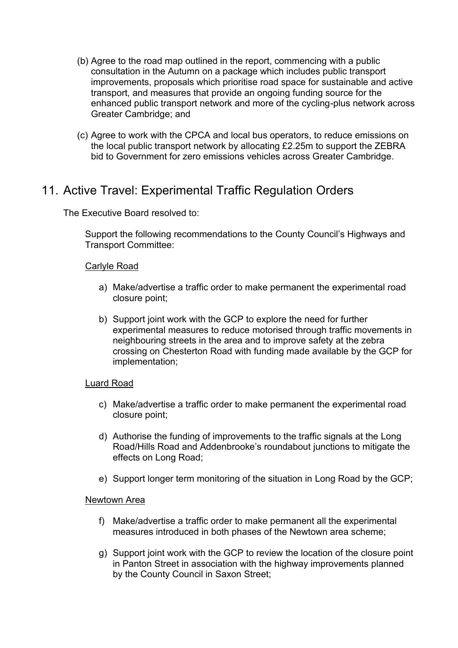- (b) Agree to the road map outlined in the report, commencing with a public consultation in the Autumn on a package which includes public transport improvements, proposals which prioritise road space for sustainable and active transport, and measures that provide an ongoing funding source for the enhanced public transport network and more of the cycling-plus network across Greater Cambridge; and
- (c) Agree to work with the CPCA and local bus operators, to reduce emissions on the local public transport network by allocating £2.25m to support the ZEBRA bid to Government for zero emissions vehicles across Greater Cambridge.

# 11. Active Travel: Experimental Traffic Regulation Orders

The Executive Board resolved to:

Support the following recommendations to the County Council's Highways and Transport Committee:

### Carlyle Road

- a) Make/advertise a traffic order to make permanent the experimental road closure point;
- b) Support joint work with the GCP to explore the need for further experimental measures to reduce motorised through traffic movements in neighbouring streets in the area and to improve safety at the zebra crossing on Chesterton Road with funding made available by the GCP for implementation;

### Luard Road

- c) Make/advertise a traffic order to make permanent the experimental road closure point;
- d) Authorise the funding of improvements to the traffic signals at the Long Road/Hills Road and Addenbrooke's roundabout junctions to mitigate the effects on Long Road;
- e) Support longer term monitoring of the situation in Long Road by the GCP;

### Newtown Area

- f) Make/advertise a traffic order to make permanent all the experimental measures introduced in both phases of the Newtown area scheme;
- g) Support joint work with the GCP to review the location of the closure point in Panton Street in association with the highway improvements planned by the County Council in Saxon Street;